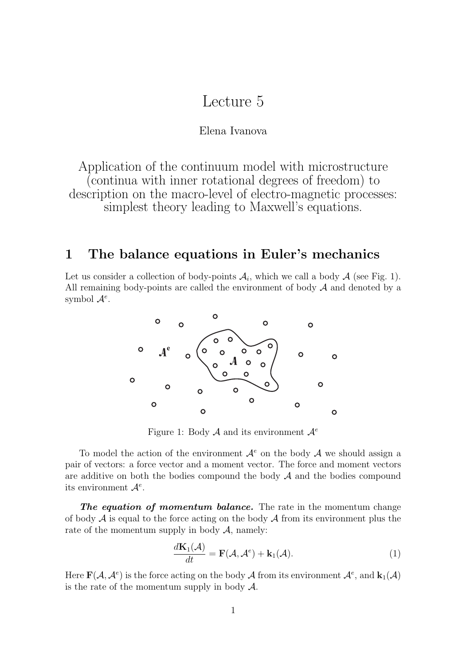# Lecture 5

#### Elena Ivanova

Application of the continuum model with microstructure (continua with inner rotational degrees of freedom) to description on the macro-level of electro-magnetic processes: simplest theory leading to Maxwell's equations.

### **1 The balance equations in Euler's mechanics**

Let us consider a collection of body-points  $A_i$ , which we call a body  $A$  (see Fig. 1). All remaining body-points are called the environment of body  $A$  and denoted by a symbol  $\mathcal{A}^e$ .



Figure 1: Body <sup>A</sup> and its environment <sup>A</sup>*<sup>e</sup>*

To model the action of the environment  $\mathcal{A}^e$  on the body  $\mathcal A$  we should assign a pair of vectors: a force vector and a moment vector. The force and moment vectors are additive on both the bodies compound the body  $A$  and the bodies compound its environment <sup>A</sup>*<sup>e</sup>*.

*The equation of momentum balance.* The rate in the momentum change of body  $\mathcal A$  is equal to the force acting on the body  $\mathcal A$  from its environment plus the rate of the momentum supply in body  $A$ , namely:

$$
\frac{d\mathbf{K}_1(\mathcal{A})}{dt} = \mathbf{F}(\mathcal{A}, \mathcal{A}^e) + \mathbf{k}_1(\mathcal{A}).
$$
\n(1)

Here  $\mathbf{F}(\mathcal{A}, \mathcal{A}^e)$  is the force acting on the body A from its environment  $\mathcal{A}^e$ , and  $\mathbf{k}_1(\mathcal{A})$ is the rate of the momentum supply in body  $\mathcal{A}$ .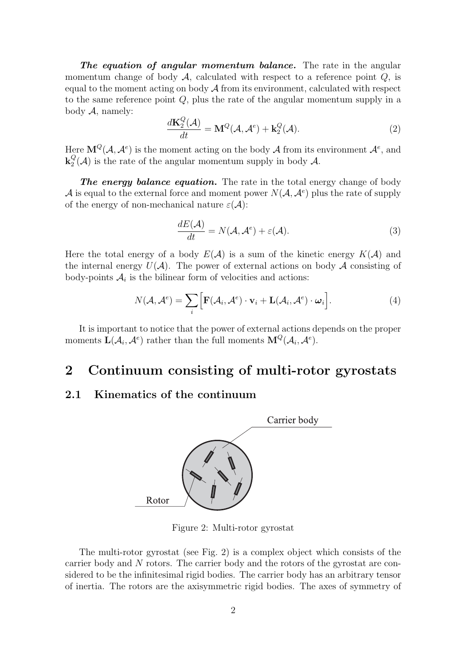*The equation of angular momentum balance.* The rate in the angular momentum change of body  $A$ , calculated with respect to a reference point  $Q$ , is equal to the moment acting on body  $A$  from its environment, calculated with respect to the same reference point Q, plus the rate of the angular momentum supply in a body  $A$ , namely:

$$
\frac{d\mathbf{K}_2^Q(\mathcal{A})}{dt} = \mathbf{M}^Q(\mathcal{A}, \mathcal{A}^e) + \mathbf{k}_2^Q(\mathcal{A}).\tag{2}
$$

Here  $\mathbf{M}^Q(\mathcal{A}, \mathcal{A}^e)$  is the moment acting on the body  $\mathcal{A}$  from its environment  $\mathcal{A}^e$ , and  $\mathbf{k}_2^Q(\mathcal{A})$  is the rate of the angular momentum supply in body  $\mathcal{A}$ .

**The energy balance equation.** The rate in the total energy change of body A is equal to the external force and moment power  $N(\mathcal{A}, \mathcal{A}^e)$  plus the rate of supply of the energy of non-mechanical nature  $\varepsilon(\mathcal{A})$ :

$$
\frac{dE(\mathcal{A})}{dt} = N(\mathcal{A}, \mathcal{A}^e) + \varepsilon(\mathcal{A}).
$$
\n(3)

Here the total energy of a body  $E(\mathcal{A})$  is a sum of the kinetic energy  $K(\mathcal{A})$  and the internal energy  $U(\mathcal{A})$ . The power of external actions on body  $\mathcal A$  consisting of body-points  $A_i$  is the bilinear form of velocities and actions:

$$
N(\mathcal{A}, \mathcal{A}^e) = \sum_{i} \Big[ \mathbf{F}(\mathcal{A}_i, \mathcal{A}^e) \cdot \mathbf{v}_i + \mathbf{L}(\mathcal{A}_i, \mathcal{A}^e) \cdot \boldsymbol{\omega}_i \Big]. \tag{4}
$$

It is important to notice that the power of external actions depends on the proper moments  $\mathbf{L}(\mathcal{A}_i, \mathcal{A}^e)$  rather than the full moments  $\mathbf{M}^Q(\mathcal{A}_i, \mathcal{A}^e)$ .

# **2 Continuum consisting of multi-rotor gyrostats**

### **2.1 Kinematics of the continuum**



Figure 2: Multi-rotor gyrostat

The multi-rotor gyrostat (see Fig. 2) is a complex object which consists of the carrier body and N rotors. The carrier body and the rotors of the gyrostat are considered to be the infinitesimal rigid bodies. The carrier body has an arbitrary tensor of inertia. The rotors are the axisymmetric rigid bodies. The axes of symmetry of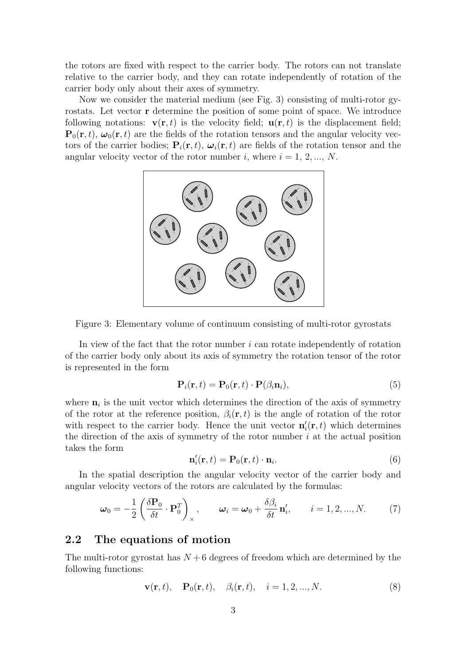the rotors are fixed with respect to the carrier body. The rotors can not translate relative to the carrier body, and they can rotate independently of rotation of the carrier body only about their axes of symmetry.

Now we consider the material medium (see Fig. 3) consisting of multi-rotor gyrostats. Let vector **r** determine the position of some point of space. We introduce following notations:  $\mathbf{v}(\mathbf{r},t)$  is the velocity field;  $\mathbf{u}(\mathbf{r},t)$  is the displacement field;  ${\bf P}_0({\bf r}, t)$ ,  $\omega_0({\bf r}, t)$  are the fields of the rotation tensors and the angular velocity vectors of the carrier bodies;  $P_i(r, t)$ ,  $\omega_i(r, t)$  are fields of the rotation tensor and the angular velocity vector of the rotor number i, where  $i = 1, 2, ..., N$ .



Figure 3: Elementary volume of continuum consisting of multi-rotor gyrostats

In view of the fact that the rotor number  $i$  can rotate independently of rotation of the carrier body only about its axis of symmetry the rotation tensor of the rotor is represented in the form

$$
\mathbf{P}_i(\mathbf{r},t) = \mathbf{P}_0(\mathbf{r},t) \cdot \mathbf{P}(\beta_i \mathbf{n}_i), \tag{5}
$$

where  $\mathbf{n}_i$  is the unit vector which determines the direction of the axis of symmetry of the rotor at the reference position,  $\beta_i(\mathbf{r}, t)$  is the angle of rotation of the rotor with respect to the carrier body. Hence the unit vector  $\mathbf{n}'_i(\mathbf{r},t)$  which determines the direction of the axis of symmetry of the rotor number  $i$  at the actual position takes the form

$$
\mathbf{n}'_i(\mathbf{r},t) = \mathbf{P}_0(\mathbf{r},t) \cdot \mathbf{n}_i. \tag{6}
$$

In the spatial description the angular velocity vector of the carrier body and angular velocity vectors of the rotors are calculated by the formulas:

$$
\boldsymbol{\omega}_0 = -\frac{1}{2} \left( \frac{\delta \mathbf{P}_0}{\delta t} \cdot \mathbf{P}_0^T \right)_{\times}, \qquad \boldsymbol{\omega}_i = \boldsymbol{\omega}_0 + \frac{\delta \beta_i}{\delta t} \mathbf{n}'_i, \qquad i = 1, 2, ..., N. \tag{7}
$$

#### **2.2 The equations of motion**

The multi-rotor gyrostat has  $N + 6$  degrees of freedom which are determined by the following functions:

$$
\mathbf{v}(\mathbf{r},t), \quad \mathbf{P}_0(\mathbf{r},t), \quad \beta_i(\mathbf{r},t), \quad i = 1, 2, ..., N. \tag{8}
$$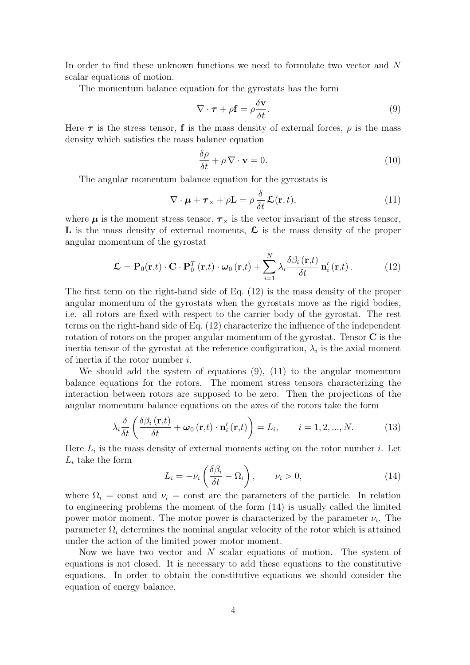In order to find these unknown functions we need to formulate two vector and N scalar equations of motion.

The momentum balance equation for the gyrostats has the form

$$
\nabla \cdot \boldsymbol{\tau} + \rho \mathbf{f} = \rho \frac{\delta \mathbf{v}}{\delta t}.
$$
 (9)

Here  $\tau$  is the stress tensor, **f** is the mass density of external forces,  $\rho$  is the mass density which satisfies the mass balance equation

$$
\frac{\delta \rho}{\delta t} + \rho \nabla \cdot \mathbf{v} = 0.
$$
 (10)

The angular momentum balance equation for the gyrostats is

$$
\nabla \cdot \boldsymbol{\mu} + \boldsymbol{\tau}_{\times} + \rho \mathbf{L} = \rho \frac{\delta}{\delta t} \mathbf{\mathcal{L}}(\mathbf{r}, t), \qquad (11)
$$

where  $\mu$  is the moment stress tensor,  $\tau_{\times}$  is the vector invariant of the stress tensor, **L** is the mass density of external moments, **L** is the mass density of the proper angular momentum of the gyrostat

$$
\mathcal{L} = \mathbf{P}_0(\mathbf{r},t) \cdot \mathbf{C} \cdot \mathbf{P}_0^T(\mathbf{r},t) \cdot \boldsymbol{\omega}_0(\mathbf{r},t) + \sum_{i=1}^N \lambda_i \frac{\delta \beta_i(\mathbf{r},t)}{\delta t} \mathbf{n}'_i(\mathbf{r},t).
$$
 (12)

The first term on the right-hand side of Eq. (12) is the mass density of the proper angular momentum of the gyrostats when the gyrostats move as the rigid bodies, i.e. all rotors are fixed with respect to the carrier body of the gyrostat. The rest terms on the right-hand side of Eq. (12) characterize the influence of the independent rotation of rotors on the proper angular momentum of the gyrostat. Tensor **C** is the inertia tensor of the gyrostat at the reference configuration,  $\lambda_i$  is the axial moment of inertia if the rotor number i.

We should add the system of equations (9), (11) to the angular momentum balance equations for the rotors. The moment stress tensors characterizing the interaction between rotors are supposed to be zero. Then the projections of the angular momentum balance equations on the axes of the rotors take the form

$$
\lambda_i \frac{\delta}{\delta t} \left( \frac{\delta \beta_i(\mathbf{r},t)}{\delta t} + \boldsymbol{\omega}_0(\mathbf{r},t) \cdot \mathbf{n}_i'(\mathbf{r},t) \right) = L_i, \qquad i = 1, 2, ..., N. \tag{13}
$$

Here  $L_i$  is the mass density of external moments acting on the rotor number  $i$ . Let  $L_i$  take the form

$$
L_i = -\nu_i \left( \frac{\delta \beta_i}{\delta t} - \Omega_i \right), \qquad \nu_i > 0,
$$
\n(14)

where  $\Omega_i = \text{const}$  and  $\nu_i = \text{const}$  are the parameters of the particle. In relation to engineering problems the moment of the form (14) is usually called the limited power motor moment. The motor power is characterized by the parameter  $\nu_i$ . The parameter  $\Omega_i$  determines the nominal angular velocity of the rotor which is attained under the action of the limited power motor moment.

Now we have two vector and N scalar equations of motion. The system of equations is not closed. It is necessary to add these equations to the constitutive equations. In order to obtain the constitutive equations we should consider the equation of energy balance.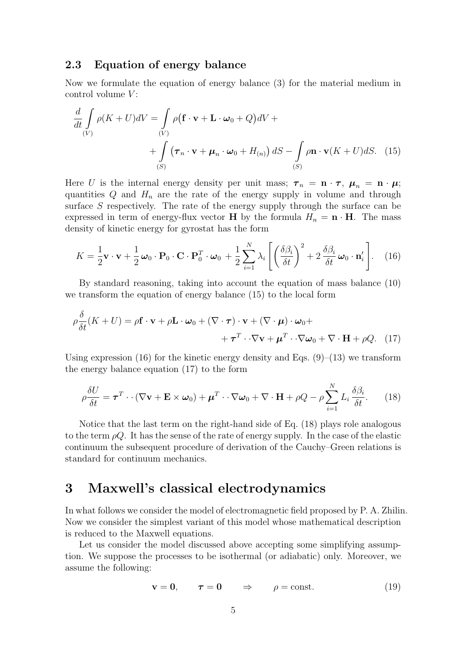### **2.3 Equation of energy balance**

Now we formulate the equation of energy balance (3) for the material medium in control volume  $V$ :

$$
\frac{d}{dt} \int_{(V)} \rho(K+U)dV = \int_{(V)} \rho(\mathbf{f} \cdot \mathbf{v} + \mathbf{L} \cdot \boldsymbol{\omega}_0 + Q)dV +
$$
  
+ 
$$
\int_{(S)} (\boldsymbol{\tau}_n \cdot \mathbf{v} + \boldsymbol{\mu}_n \cdot \boldsymbol{\omega}_0 + H_{(n)}) dS - \int_{(S)} \rho \mathbf{n} \cdot \mathbf{v}(K+U)dS. \tag{15}
$$

Here U is the internal energy density per unit mass;  $\tau_n = \mathbf{n} \cdot \mathbf{r}$ ,  $\mu_n = \mathbf{n} \cdot \mu$ ; quantities  $Q$  and  $H_n$  are the rate of the energy supply in volume and through surface S respectively. The rate of the energy supply through the surface can be expressed in term of energy-flux vector **H** by the formula  $H_n = \mathbf{n} \cdot \mathbf{H}$ . The mass density of kinetic energy for gyrostat has the form

$$
K = \frac{1}{2}\mathbf{v}\cdot\mathbf{v} + \frac{1}{2}\boldsymbol{\omega}_0\cdot\mathbf{P}_0\cdot\mathbf{C}\cdot\mathbf{P}_0^T\cdot\boldsymbol{\omega}_0 + \frac{1}{2}\sum_{i=1}^N\lambda_i\left[\left(\frac{\delta\beta_i}{\delta t}\right)^2 + 2\frac{\delta\beta_i}{\delta t}\boldsymbol{\omega}_0\cdot\mathbf{n}_i'\right].
$$
 (16)

By standard reasoning, taking into account the equation of mass balance (10) we transform the equation of energy balance (15) to the local form

$$
\rho \frac{\delta}{\delta t}(K+U) = \rho \mathbf{f} \cdot \mathbf{v} + \rho \mathbf{L} \cdot \boldsymbol{\omega}_0 + (\nabla \cdot \boldsymbol{\tau}) \cdot \mathbf{v} + (\nabla \cdot \boldsymbol{\mu}) \cdot \boldsymbol{\omega}_0 + + \boldsymbol{\tau}^T \cdot \nabla \mathbf{v} + \boldsymbol{\mu}^T \cdot \nabla \boldsymbol{\omega}_0 + \nabla \cdot \mathbf{H} + \rho Q. \tag{17}
$$

Using expression (16) for the kinetic energy density and Eqs.  $(9)$ – $(13)$  we transform the energy balance equation (17) to the form

$$
\rho \frac{\delta U}{\delta t} = \boldsymbol{\tau}^T \cdot \cdot (\nabla \mathbf{v} + \mathbf{E} \times \boldsymbol{\omega}_0) + \boldsymbol{\mu}^T \cdot \cdot \nabla \boldsymbol{\omega}_0 + \nabla \cdot \mathbf{H} + \rho Q - \rho \sum_{i=1}^N L_i \frac{\delta \beta_i}{\delta t}.
$$
 (18)

Notice that the last term on the right-hand side of Eq. (18) plays role analogous to the term  $\rho Q$ . It has the sense of the rate of energy supply. In the case of the elastic continuum the subsequent procedure of derivation of the Cauchy–Green relations is standard for continuum mechanics.

## **3 Maxwell's classical electrodynamics**

In what follows we consider the model of electromagnetic field proposed by P. A. Zhilin. Now we consider the simplest variant of this model whose mathematical description is reduced to the Maxwell equations.

Let us consider the model discussed above accepting some simplifying assumption. We suppose the processes to be isothermal (or adiabatic) only. Moreover, we assume the following:

$$
\mathbf{v} = \mathbf{0}, \qquad \boldsymbol{\tau} = \mathbf{0} \qquad \Rightarrow \qquad \rho = \text{const.} \tag{19}
$$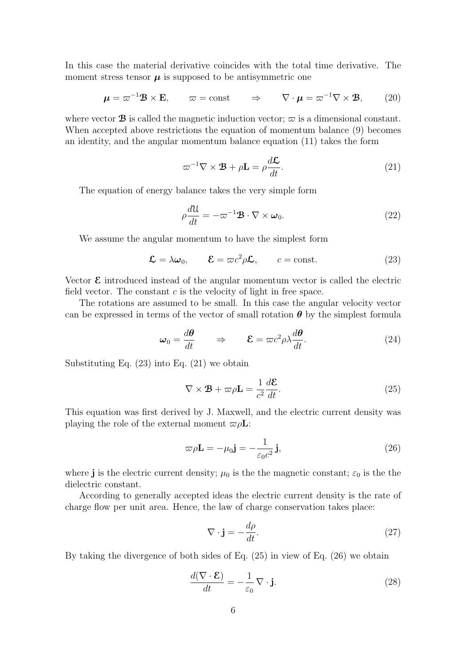In this case the material derivative coincides with the total time derivative. The moment stress tensor  $\mu$  is supposed to be antisymmetric one

$$
\boldsymbol{\mu} = \boldsymbol{\varpi}^{-1} \mathbf{B} \times \mathbf{E}, \qquad \boldsymbol{\varpi} = \text{const} \qquad \Rightarrow \qquad \nabla \cdot \boldsymbol{\mu} = \boldsymbol{\varpi}^{-1} \nabla \times \mathbf{B}, \qquad (20)
$$

where vector **B** is called the magnetic induction vector;  $\varpi$  is a dimensional constant. When accepted above restrictions the equation of momentum balance (9) becomes an identity, and the angular momentum balance equation (11) takes the form

$$
\varpi^{-1} \nabla \times \mathbf{B} + \rho \mathbf{L} = \rho \frac{d \mathbf{L}}{dt}.
$$
 (21)

The equation of energy balance takes the very simple form

$$
\rho \frac{d\mathcal{U}}{dt} = -\varpi^{-1} \mathbf{B} \cdot \nabla \times \boldsymbol{\omega}_0.
$$
\n(22)

We assume the angular momentum to have the simplest form

$$
\mathcal{L} = \lambda \omega_0, \qquad \mathcal{E} = \varpi c^2 \rho \mathcal{L}, \qquad c = \text{const.} \tag{23}
$$

Vector **E** introduced instead of the angular momentum vector is called the electric field vector. The constant  $c$  is the velocity of light in free space.

The rotations are assumed to be small. In this case the angular velocity vector can be expressed in terms of the vector of small rotation  $\theta$  by the simplest formula

$$
\omega_0 = \frac{d\theta}{dt} \qquad \Rightarrow \qquad \mathcal{E} = \varpi c^2 \rho \lambda \frac{d\theta}{dt}.
$$
 (24)

Substituting Eq. (23) into Eq. (21) we obtain

$$
\nabla \times \mathbf{B} + \varpi \rho \mathbf{L} = \frac{1}{c^2} \frac{d\mathbf{E}}{dt}.
$$
 (25)

This equation was first derived by J. Maxwell, and the electric current density was playing the role of the external moment  $\varpi \rho L$ :

$$
\varpi \rho \mathbf{L} = -\mu_0 \mathbf{j} = -\frac{1}{\varepsilon_0 c^2} \mathbf{j},\qquad(26)
$$

where **j** is the electric current density;  $\mu_0$  is the the magnetic constant;  $\varepsilon_0$  is the the dielectric constant.

According to generally accepted ideas the electric current density is the rate of charge flow per unit area. Hence, the law of charge conservation takes place:

$$
\nabla \cdot \mathbf{j} = -\frac{d\rho}{dt}.\tag{27}
$$

By taking the divergence of both sides of Eq. (25) in view of Eq. (26) we obtain

$$
\frac{d(\nabla \cdot \mathcal{E})}{dt} = -\frac{1}{\varepsilon_0} \nabla \cdot \mathbf{j}.
$$
 (28)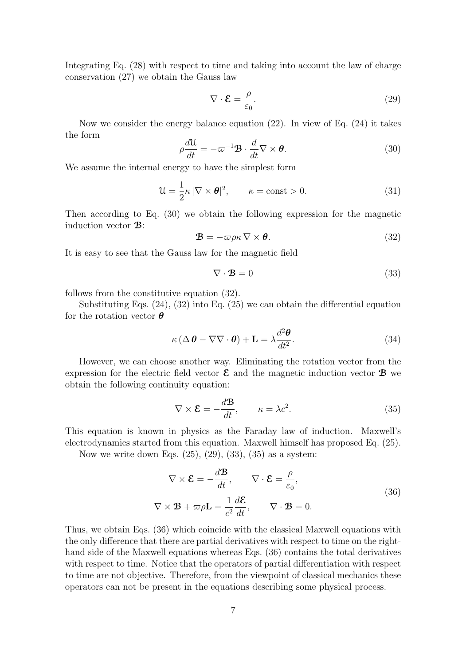Integrating Eq. (28) with respect to time and taking into account the law of charge conservation (27) we obtain the Gauss law

$$
\nabla \cdot \mathcal{E} = \frac{\rho}{\varepsilon_0}.\tag{29}
$$

Now we consider the energy balance equation  $(22)$ . In view of Eq.  $(24)$  it takes the form

$$
\rho \frac{d\mathcal{U}}{dt} = -\varpi^{-1} \mathbf{B} \cdot \frac{d}{dt} \nabla \times \boldsymbol{\theta}.
$$
 (30)

We assume the internal energy to have the simplest form

$$
\mathcal{U} = \frac{1}{2}\kappa |\nabla \times \boldsymbol{\theta}|^2, \qquad \kappa = \text{const} > 0. \tag{31}
$$

Then according to Eq. (30) we obtain the following expression for the magnetic induction vector **B**:

$$
\mathbf{B} = -\varpi \rho \kappa \nabla \times \boldsymbol{\theta}.
$$
 (32)

It is easy to see that the Gauss law for the magnetic field

$$
\nabla \cdot \mathbf{B} = 0 \tag{33}
$$

follows from the constitutive equation (32).

Substituting Eqs. (24), (32) into Eq. (25) we can obtain the differential equation for the rotation vector *θ*

$$
\kappa \left( \Delta \boldsymbol{\theta} - \nabla \nabla \cdot \boldsymbol{\theta} \right) + \mathbf{L} = \lambda \frac{d^2 \boldsymbol{\theta}}{dt^2}.
$$
 (34)

However, we can choose another way. Eliminating the rotation vector from the expression for the electric field vector  $\mathcal{E}$  and the magnetic induction vector  $\mathcal{B}$  we obtain the following continuity equation:

$$
\nabla \times \mathcal{E} = -\frac{d\mathcal{B}}{dt}, \qquad \kappa = \lambda c^2.
$$
 (35)

This equation is known in physics as the Faraday law of induction. Maxwell's electrodynamics started from this equation. Maxwell himself has proposed Eq. (25).

Now we write down Eqs. (25), (29), (33), (35) as a system:

$$
\nabla \times \mathcal{E} = -\frac{d\mathbf{B}}{dt}, \qquad \nabla \cdot \mathcal{E} = \frac{\rho}{\varepsilon_0},
$$
  

$$
\nabla \times \mathbf{B} + \varpi \rho \mathbf{L} = \frac{1}{c^2} \frac{d\mathcal{E}}{dt}, \qquad \nabla \cdot \mathbf{B} = 0.
$$
 (36)

Thus, we obtain Eqs. (36) which coincide with the classical Maxwell equations with the only difference that there are partial derivatives with respect to time on the righthand side of the Maxwell equations whereas Eqs. (36) contains the total derivatives with respect to time. Notice that the operators of partial differentiation with respect to time are not objective. Therefore, from the viewpoint of classical mechanics these operators can not be present in the equations describing some physical process.